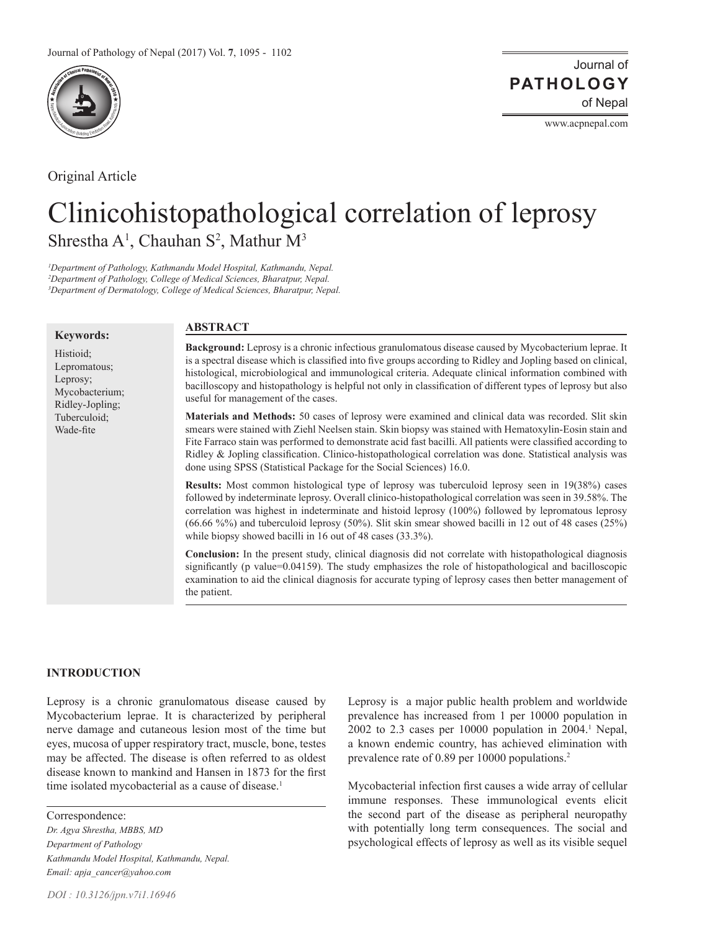

Original Article

www.acpnepal.com

# Clinicohistopathological correlation of leprosy Shrestha  $A^1$ , Chauhan S<sup>2</sup>, Mathur M<sup>3</sup>

*1 Department of Pathology, Kathmandu Model Hospital, Kathmandu, Nepal. 2 Department of Pathology, College of Medical Sciences, Bharatpur, Nepal. 3 Department of Dermatology, College of Medical Sciences, Bharatpur, Nepal.* 

### **Keywords:**

Histioid; Lepromatous; Leprosy; Mycobacterium; Ridley-Jopling; Tuberculoid; Wade-fite

# **ABSTRACT**

**Background:** Leprosy is a chronic infectious granulomatous disease caused by Mycobacterium leprae. It is a spectral disease which is classified into five groups according to Ridley and Jopling based on clinical, histological, microbiological and immunological criteria. Adequate clinical information combined with bacilloscopy and histopathology is helpful not only in classification of different types of leprosy but also useful for management of the cases.

**Materials and Methods:** 50 cases of leprosy were examined and clinical data was recorded. Slit skin smears were stained with Ziehl Neelsen stain. Skin biopsy was stained with Hematoxylin-Eosin stain and Fite Farraco stain was performed to demonstrate acid fast bacilli. All patients were classified according to Ridley & Jopling classification. Clinico-histopathological correlation was done. Statistical analysis was done using SPSS (Statistical Package for the Social Sciences) 16.0.

**Results:** Most common histological type of leprosy was tuberculoid leprosy seen in 19(38%) cases followed by indeterminate leprosy. Overall clinico-histopathological correlation was seen in 39.58%. The correlation was highest in indeterminate and histoid leprosy (100%) followed by lepromatous leprosy (66.66 %%) and tuberculoid leprosy (50%). Slit skin smear showed bacilli in 12 out of 48 cases (25%) while biopsy showed bacilli in 16 out of 48 cases (33.3%).

**Conclusion:** In the present study, clinical diagnosis did not correlate with histopathological diagnosis significantly (p value=0.04159). The study emphasizes the role of histopathological and bacilloscopic examination to aid the clinical diagnosis for accurate typing of leprosy cases then better management of the patient.

# **INTRODUCTION**

Leprosy is a chronic granulomatous disease caused by Mycobacterium leprae. It is characterized by peripheral nerve damage and cutaneous lesion most of the time but eyes, mucosa of upper respiratory tract, muscle, bone, testes may be affected. The disease is often referred to as oldest disease known to mankind and Hansen in 1873 for the first time isolated mycobacterial as a cause of disease.<sup>1</sup>

Correspondence:

*Dr. Agya Shrestha, MBBS, MD Department of Pathology Kathmandu Model Hospital, Kathmandu, Nepal. Email: apja\_cancer@yahoo.com*

Leprosy is a major public health problem and worldwide prevalence has increased from 1 per 10000 population in  $2002$  to 2.3 cases per 10000 population in  $2004$ .<sup>1</sup> Nepal, a known endemic country, has achieved elimination with prevalence rate of 0.89 per 10000 populations.<sup>2</sup>

Mycobacterial infection first causes a wide array of cellular immune responses. These immunological events elicit the second part of the disease as peripheral neuropathy with potentially long term consequences. The social and psychological effects of leprosy as well as its visible sequel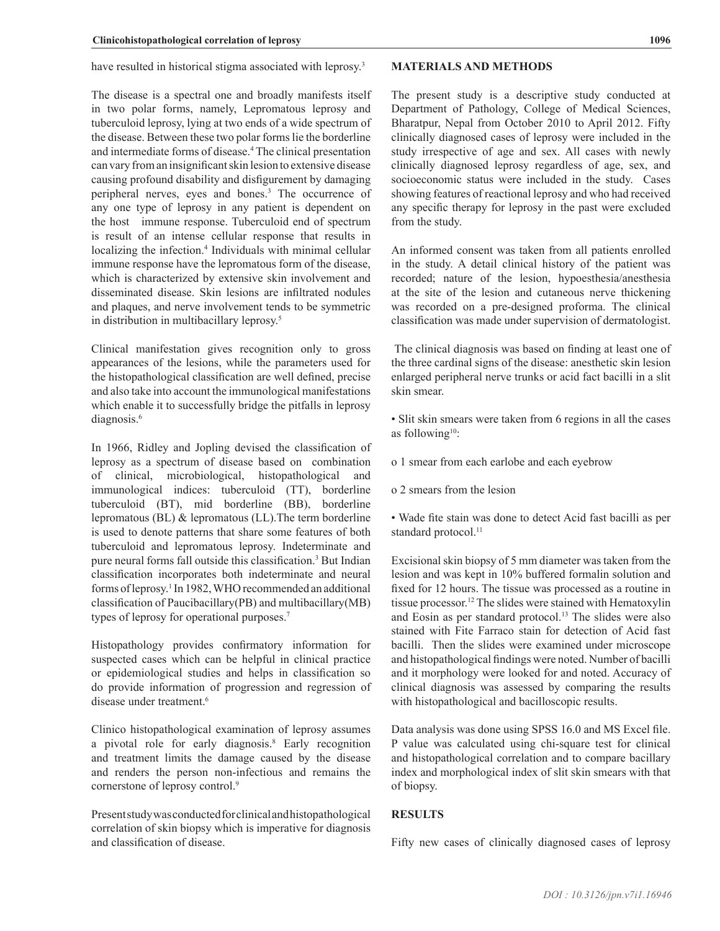have resulted in historical stigma associated with leprosy.<sup>3</sup>

The disease is a spectral one and broadly manifests itself in two polar forms, namely, Lepromatous leprosy and tuberculoid leprosy, lying at two ends of a wide spectrum of the disease. Between these two polar forms lie the borderline and intermediate forms of disease.4 The clinical presentation can vary from an insignificant skin lesion to extensive disease causing profound disability and disfigurement by damaging peripheral nerves, eyes and bones.<sup>3</sup> The occurrence of any one type of leprosy in any patient is dependent on the host immune response. Tuberculoid end of spectrum is result of an intense cellular response that results in localizing the infection.<sup>4</sup> Individuals with minimal cellular immune response have the lepromatous form of the disease, which is characterized by extensive skin involvement and disseminated disease. Skin lesions are infiltrated nodules and plaques, and nerve involvement tends to be symmetric in distribution in multibacillary leprosy.<sup>5</sup>

Clinical manifestation gives recognition only to gross appearances of the lesions, while the parameters used for the histopathological classification are well defined, precise and also take into account the immunological manifestations which enable it to successfully bridge the pitfalls in leprosy diagnosis.<sup>6</sup>

In 1966, Ridley and Jopling devised the classification of leprosy as a spectrum of disease based on combination of clinical, microbiological, histopathological and immunological indices: tuberculoid (TT), borderline tuberculoid (BT), mid borderline (BB), borderline lepromatous (BL) & lepromatous (LL).The term borderline is used to denote patterns that share some features of both tuberculoid and lepromatous leprosy. Indeterminate and pure neural forms fall outside this classification.<sup>3</sup> But Indian classification incorporates both indeterminate and neural forms of leprosy.<sup>1</sup> In 1982, WHO recommended an additional classification of Paucibacillary(PB) and multibacillary(MB) types of leprosy for operational purposes.<sup>7</sup>

Histopathology provides confirmatory information for suspected cases which can be helpful in clinical practice or epidemiological studies and helps in classification so do provide information of progression and regression of disease under treatment.<sup>6</sup>

Clinico histopathological examination of leprosy assumes a pivotal role for early diagnosis.<sup>8</sup> Early recognition and treatment limits the damage caused by the disease and renders the person non-infectious and remains the cornerstone of leprosy control.<sup>9</sup>

Present study was conducted for clinical and histopathological correlation of skin biopsy which is imperative for diagnosis and classification of disease.

## **MATERIALS AND METHODS**

The present study is a descriptive study conducted at Department of Pathology, College of Medical Sciences, Bharatpur, Nepal from October 2010 to April 2012. Fifty clinically diagnosed cases of leprosy were included in the study irrespective of age and sex. All cases with newly clinically diagnosed leprosy regardless of age, sex, and socioeconomic status were included in the study. Cases showing features of reactional leprosy and who had received any specific therapy for leprosy in the past were excluded from the study.

An informed consent was taken from all patients enrolled in the study. A detail clinical history of the patient was recorded; nature of the lesion, hypoesthesia/anesthesia at the site of the lesion and cutaneous nerve thickening was recorded on a pre-designed proforma. The clinical classification was made under supervision of dermatologist.

 The clinical diagnosis was based on finding at least one of the three cardinal signs of the disease: anesthetic skin lesion enlarged peripheral nerve trunks or acid fact bacilli in a slit skin smear.

• Slit skin smears were taken from 6 regions in all the cases as following<sup>10</sup>:

- o 1 smear from each earlobe and each eyebrow
- o 2 smears from the lesion

• Wade fite stain was done to detect Acid fast bacilli as per standard protocol.<sup>11</sup>

Excisional skin biopsy of 5 mm diameter was taken from the lesion and was kept in 10% buffered formalin solution and fixed for 12 hours. The tissue was processed as a routine in tissue processor.12 The slides were stained with Hematoxylin and Eosin as per standard protocol.13 The slides were also stained with Fite Farraco stain for detection of Acid fast bacilli. Then the slides were examined under microscope and histopathological findings were noted. Number of bacilli and it morphology were looked for and noted. Accuracy of clinical diagnosis was assessed by comparing the results with histopathological and bacilloscopic results.

Data analysis was done using SPSS 16.0 and MS Excel file. P value was calculated using chi-square test for clinical and histopathological correlation and to compare bacillary index and morphological index of slit skin smears with that of biopsy.

# **RESULTS**

Fifty new cases of clinically diagnosed cases of leprosy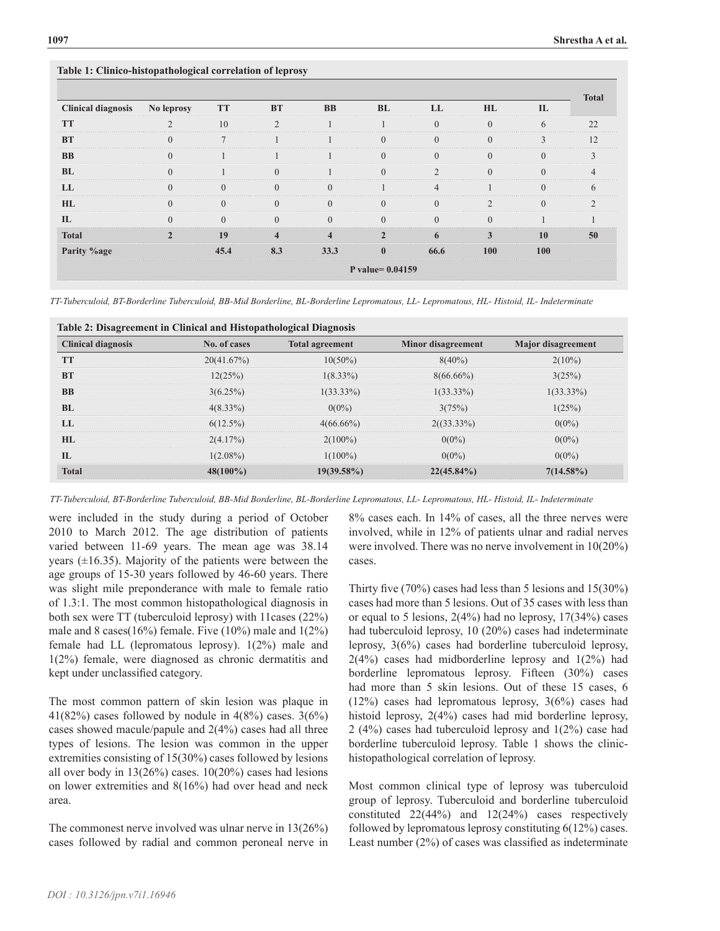#### **Table 1: Clinico-histopathological correlation of leprosy**

|                           |                    |               |                         |                         |                |                |                |              | <b>Total</b> |
|---------------------------|--------------------|---------------|-------------------------|-------------------------|----------------|----------------|----------------|--------------|--------------|
| <b>Clinical diagnosis</b> | No leprosy         | <b>TT</b>     | <b>BT</b>               | <b>BB</b>               | <b>BL</b>      | LL             | HL             | $\mathbf{L}$ |              |
| <b>TT</b>                 | $\mathfrak{D}$     | 10            | $\overline{2}$          |                         |                | $\Omega$       | $\Omega$       | 6            | 22           |
| <b>BT</b>                 | $\Omega$           | $\mathcal{I}$ |                         |                         | $\Omega$       | $\Omega$       | $\Omega$       | 3            | 12           |
| <b>BB</b>                 | $\Omega$           |               |                         |                         | $\Omega$       | $\Omega$       | $\Omega$       | $\Omega$     |              |
| <b>BL</b>                 | $\Omega$           |               | $\Omega$                |                         | $\Omega$       | $\overline{2}$ | $\Omega$       | $\Omega$     |              |
| LL                        | $\Omega$           | $\Omega$      | $\Omega$                | $\Omega$                |                | $\overline{4}$ |                | $\Omega$     | 6            |
| HL                        | $\Omega$           | $\theta$      | $\Omega$                | $\Omega$                | $\Omega$       | $\Omega$       | $\mathfrak{D}$ | $\Omega$     | $\gamma$     |
| $\mathbf{L}$              | $\Omega$           | $\Omega$      | $\Omega$                | $\Omega$                | $\Omega$       | $\Omega$       | $\Omega$       |              |              |
| <b>Total</b>              | $\mathfrak{D}$     | 19            | $\overline{\mathbf{4}}$ | $\overline{\mathbf{4}}$ | $\overline{2}$ | 6              | 3              | 10           | 50           |
| Parity %age               |                    | 45.4          | 8.3                     | 33.3                    | $\mathbf{0}$   | 66.6           | 100            | 100          |              |
|                           | P value= $0.04159$ |               |                         |                         |                |                |                |              |              |

*TT-Tuberculoid, BT-Borderline Tuberculoid, BB-Mid Borderline, BL-Borderline Lepromatous, LL- Lepromatous, HL- Histoid, IL- Indeterminate*

| Table 2: Disagreement in Clinical and Histopathological Diagnosis |              |                        |                           |                           |  |  |  |
|-------------------------------------------------------------------|--------------|------------------------|---------------------------|---------------------------|--|--|--|
| <b>Clinical diagnosis</b>                                         | No. of cases | <b>Total agreement</b> | <b>Minor disagreement</b> | <b>Major</b> disagreement |  |  |  |
| <b>TT</b>                                                         | 20(41.67%)   | $10(50\%)$             | $8(40\%)$                 | $2(10\%)$                 |  |  |  |
| <b>BT</b>                                                         | 12(25%)      | $1(8.33\%)$            | $8(66.66\%)$              | 3(25%)                    |  |  |  |
| <b>BB</b>                                                         | $3(6.25\%)$  | $1(33.33\%)$           | $1(33.33\%)$              | $1(33.33\%)$              |  |  |  |
| BL                                                                | $4(8.33\%)$  | $0(0\%)$               | 3(75%)                    | 1(25%)                    |  |  |  |
| LL                                                                | $6(12.5\%)$  | $4(66.66\%)$           | $2((33.33\%)$             | $0(0\%)$                  |  |  |  |
| HL                                                                | 2(4.17%)     | $2(100\%)$             | $0(0\%)$                  | $0(0\%)$                  |  |  |  |
| $\Pi$                                                             | $1(2.08\%)$  | $1(100\%)$             | $0(0\%)$                  | $0(0\%)$                  |  |  |  |
| <b>Total</b>                                                      | $48(100\%)$  | $19(39.58\%)$          | $22(45.84\%)$             | $7(14.58\%)$              |  |  |  |

*TT-Tuberculoid, BT-Borderline Tuberculoid, BB-Mid Borderline, BL-Borderline Lepromatous, LL- Lepromatous, HL- Histoid, IL- Indeterminate*

were included in the study during a period of October 2010 to March 2012. The age distribution of patients varied between 11-69 years. The mean age was 38.14 years  $(\pm 16.35)$ . Majority of the patients were between the age groups of 15-30 years followed by 46-60 years. There was slight mile preponderance with male to female ratio of 1.3:1. The most common histopathological diagnosis in both sex were TT (tuberculoid leprosy) with 11cases (22%) male and 8 cases(16%) female. Five (10%) male and 1(2%) female had LL (lepromatous leprosy). 1(2%) male and 1(2%) female, were diagnosed as chronic dermatitis and kept under unclassified category.

The most common pattern of skin lesion was plaque in 41(82%) cases followed by nodule in  $4(8\%)$  cases.  $3(6\%)$ cases showed macule/papule and 2(4%) cases had all three types of lesions. The lesion was common in the upper extremities consisting of 15(30%) cases followed by lesions all over body in  $13(26%)$  cases.  $10(20%)$  cases had lesions on lower extremities and 8(16%) had over head and neck area.

The commonest nerve involved was ulnar nerve in 13(26%) cases followed by radial and common peroneal nerve in

8% cases each. In 14% of cases, all the three nerves were involved, while in 12% of patients ulnar and radial nerves were involved. There was no nerve involvement in 10(20%) cases.

Thirty five (70%) cases had less than 5 lesions and 15(30%) cases had more than 5 lesions. Out of 35 cases with less than or equal to 5 lesions,  $2(4\%)$  had no leprosy,  $17(34\%)$  cases had tuberculoid leprosy, 10 (20%) cases had indeterminate leprosy, 3(6%) cases had borderline tuberculoid leprosy, 2(4%) cases had midborderline leprosy and 1(2%) had borderline lepromatous leprosy. Fifteen (30%) cases had more than 5 skin lesions. Out of these 15 cases, 6 (12%) cases had lepromatous leprosy, 3(6%) cases had histoid leprosy, 2(4%) cases had mid borderline leprosy, 2 (4%) cases had tuberculoid leprosy and 1(2%) case had borderline tuberculoid leprosy. Table 1 shows the clinichistopathological correlation of leprosy.

Most common clinical type of leprosy was tuberculoid group of leprosy. Tuberculoid and borderline tuberculoid constituted 22(44%) and 12(24%) cases respectively followed by lepromatous leprosy constituting 6(12%) cases. Least number (2%) of cases was classified as indeterminate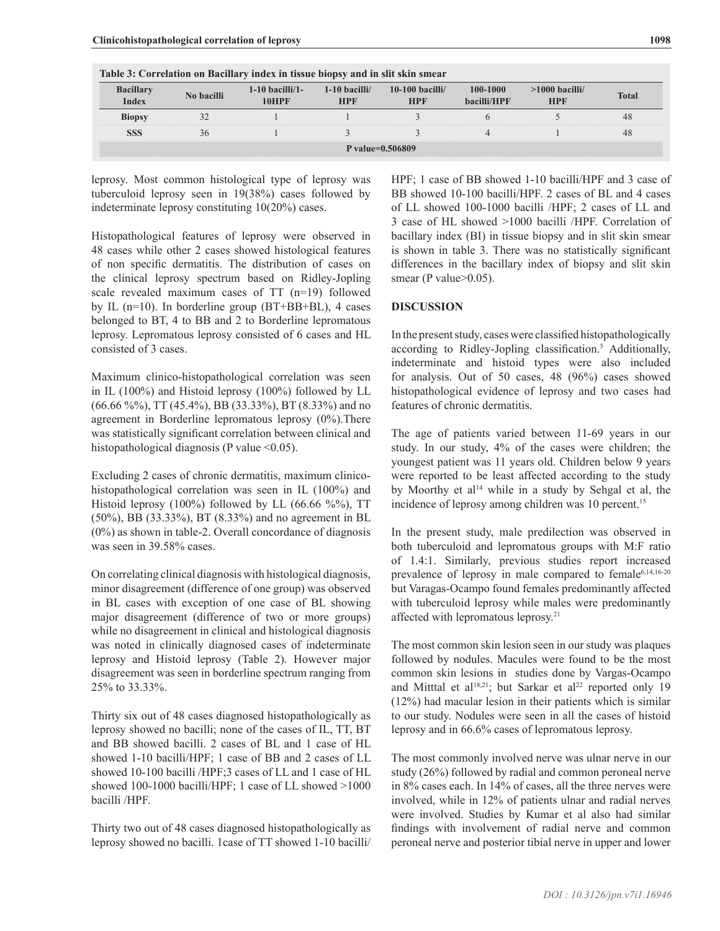| Index            | No bacilli | $1-10$ bacilli/1-<br>10HPF | $1-10$ bacilli/<br><b>HPF</b> | $10-100$ bacilli/<br><b>HPF</b> | 100-1000<br>hacilli/HPF | $>1000$ bacilli/<br><b>HPF</b> | <b>Total</b> |  |
|------------------|------------|----------------------------|-------------------------------|---------------------------------|-------------------------|--------------------------------|--------------|--|
| <b>Rioney</b>    |            |                            |                               |                                 |                         |                                | 48           |  |
|                  | 20         |                            |                               |                                 |                         |                                | 48           |  |
| P value=0.506809 |            |                            |                               |                                 |                         |                                |              |  |

**Table 3: Correlation on Bacillary index in tissue biopsy and in slit skin smear**

leprosy. Most common histological type of leprosy was tuberculoid leprosy seen in 19(38%) cases followed by indeterminate leprosy constituting 10(20%) cases.

Histopathological features of leprosy were observed in 48 cases while other 2 cases showed histological features of non specific dermatitis. The distribution of cases on the clinical leprosy spectrum based on Ridley-Jopling scale revealed maximum cases of TT (n=19) followed by IL (n=10). In borderline group (BT+BB+BL), 4 cases belonged to BT, 4 to BB and 2 to Borderline lepromatous leprosy. Lepromatous leprosy consisted of 6 cases and HL consisted of 3 cases.

Maximum clinico-histopathological correlation was seen in IL (100%) and Histoid leprosy (100%) followed by LL (66.66 %%), TT (45.4%), BB (33.33%), BT (8.33%) and no agreement in Borderline lepromatous leprosy (0%).There was statistically significant correlation between clinical and histopathological diagnosis (P value  $\leq 0.05$ ).

Excluding 2 cases of chronic dermatitis, maximum clinicohistopathological correlation was seen in IL (100%) and Histoid leprosy (100%) followed by LL (66.66 %%), TT (50%), BB (33.33%), BT (8.33%) and no agreement in BL (0%) as shown in table-2. Overall concordance of diagnosis was seen in 39.58% cases.

On correlating clinical diagnosis with histological diagnosis, minor disagreement (difference of one group) was observed in BL cases with exception of one case of BL showing major disagreement (difference of two or more groups) while no disagreement in clinical and histological diagnosis was noted in clinically diagnosed cases of indeterminate leprosy and Histoid leprosy (Table 2). However major disagreement was seen in borderline spectrum ranging from 25% to 33.33%.

Thirty six out of 48 cases diagnosed histopathologically as leprosy showed no bacilli; none of the cases of IL, TT, BT and BB showed bacilli. 2 cases of BL and 1 case of HL showed 1-10 bacilli/HPF; 1 case of BB and 2 cases of LL showed 10-100 bacilli /HPF;3 cases of LL and 1 case of HL showed 100-1000 bacilli/HPF; 1 case of LL showed >1000 bacilli /HPF.

Thirty two out of 48 cases diagnosed histopathologically as leprosy showed no bacilli. 1case of TT showed 1-10 bacilli/ HPF; 1 case of BB showed 1-10 bacilli/HPF and 3 case of BB showed 10-100 bacilli/HPF. 2 cases of BL and 4 cases of LL showed 100-1000 bacilli /HPF; 2 cases of LL and 3 case of HL showed >1000 bacilli /HPF. Correlation of bacillary index (BI) in tissue biopsy and in slit skin smear is shown in table 3. There was no statistically significant differences in the bacillary index of biopsy and slit skin smear (P value>0.05).

#### **DISCUSSION**

In the present study, cases were classified histopathologically according to Ridley-Jopling classification.<sup>5</sup> Additionally, indeterminate and histoid types were also included for analysis. Out of 50 cases, 48 (96%) cases showed histopathological evidence of leprosy and two cases had features of chronic dermatitis.

The age of patients varied between 11-69 years in our study. In our study, 4% of the cases were children; the youngest patient was 11 years old. Children below 9 years were reported to be least affected according to the study by Moorthy et al<sup>14</sup> while in a study by Sehgal et al, the incidence of leprosy among children was 10 percent.<sup>15</sup>

In the present study, male predilection was observed in both tuberculoid and lepromatous groups with M:F ratio of 1.4:1. Similarly, previous studies report increased prevalence of leprosy in male compared to female<sup>6,14,16-20</sup> but Varagas-Ocampo found females predominantly affected with tuberculoid leprosy while males were predominantly affected with lepromatous leprosy.21

The most common skin lesion seen in our study was plaques followed by nodules. Macules were found to be the most common skin lesions in studies done by Vargas-Ocampo and Mitttal et al<sup>18,21</sup>; but Sarkar et al<sup>22</sup> reported only 19 (12%) had macular lesion in their patients which is similar to our study. Nodules were seen in all the cases of histoid leprosy and in 66.6% cases of lepromatous leprosy.

The most commonly involved nerve was ulnar nerve in our study (26%) followed by radial and common peroneal nerve in 8% cases each. In 14% of cases, all the three nerves were involved, while in 12% of patients ulnar and radial nerves were involved. Studies by Kumar et al also had similar findings with involvement of radial nerve and common peroneal nerve and posterior tibial nerve in upper and lower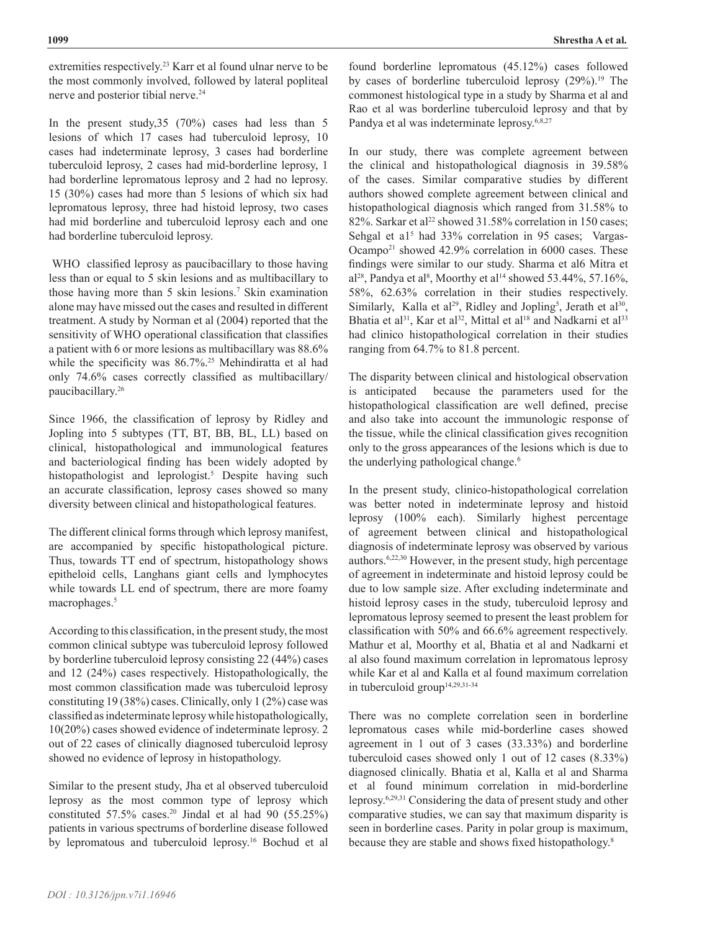extremities respectively.<sup>23</sup> Karr et al found ulnar nerve to be the most commonly involved, followed by lateral popliteal nerve and posterior tibial nerve.<sup>24</sup>

In the present study,35 (70%) cases had less than 5 lesions of which 17 cases had tuberculoid leprosy, 10 cases had indeterminate leprosy, 3 cases had borderline tuberculoid leprosy, 2 cases had mid-borderline leprosy, 1 had borderline lepromatous leprosy and 2 had no leprosy. 15 (30%) cases had more than 5 lesions of which six had lepromatous leprosy, three had histoid leprosy, two cases had mid borderline and tuberculoid leprosy each and one had borderline tuberculoid leprosy.

 WHO classified leprosy as paucibacillary to those having less than or equal to 5 skin lesions and as multibacillary to those having more than 5 skin lesions.<sup>7</sup> Skin examination alone may have missed out the cases and resulted in different treatment. A study by Norman et al (2004) reported that the sensitivity of WHO operational classification that classifies a patient with 6 or more lesions as multibacillary was 88.6% while the specificity was 86.7%.<sup>25</sup> Mehindiratta et al had only 74.6% cases correctly classified as multibacillary/ paucibacillary.26

Since 1966, the classification of leprosy by Ridley and Jopling into 5 subtypes (TT, BT, BB, BL, LL) based on clinical, histopathological and immunological features and bacteriological finding has been widely adopted by histopathologist and leprologist.<sup>5</sup> Despite having such an accurate classification, leprosy cases showed so many diversity between clinical and histopathological features.

The different clinical forms through which leprosy manifest, are accompanied by specific histopathological picture. Thus, towards TT end of spectrum, histopathology shows epitheloid cells, Langhans giant cells and lymphocytes while towards LL end of spectrum, there are more foamy macrophages.<sup>5</sup>

According to this classification, in the present study, the most common clinical subtype was tuberculoid leprosy followed by borderline tuberculoid leprosy consisting 22 (44%) cases and 12 (24%) cases respectively. Histopathologically, the most common classification made was tuberculoid leprosy constituting 19 (38%) cases. Clinically, only 1 (2%) case was classified as indeterminate leprosy while histopathologically, 10(20%) cases showed evidence of indeterminate leprosy. 2 out of 22 cases of clinically diagnosed tuberculoid leprosy showed no evidence of leprosy in histopathology.

Similar to the present study, Jha et al observed tuberculoid leprosy as the most common type of leprosy which constituted 57.5% cases.<sup>20</sup> Jindal et al had 90 (55.25%) patients in various spectrums of borderline disease followed by lepromatous and tuberculoid leprosy.16 Bochud et al

In our study, there was complete agreement between the clinical and histopathological diagnosis in 39.58% of the cases. Similar comparative studies by different authors showed complete agreement between clinical and histopathological diagnosis which ranged from 31.58% to 82%. Sarkar et al<sup>22</sup> showed  $31.58\%$  correlation in 150 cases; Sehgal et a<sup>15</sup> had 33% correlation in 95 cases; Vargas-Ocampo<sup>21</sup> showed 42.9% correlation in 6000 cases. These findings were similar to our study. Sharma et al6 Mitra et al<sup>28</sup>, Pandya et al<sup>8</sup>, Moorthy et al<sup>14</sup> showed 53.44%, 57.16%, 58%, 62.63% correlation in their studies respectively. Similarly, Kalla et al<sup>29</sup>, Ridley and Jopling<sup>5</sup>, Jerath et al<sup>30</sup>, Bhatia et al<sup>31</sup>, Kar et al<sup>32</sup>, Mittal et al<sup>18</sup> and Nadkarni et al<sup>33</sup> had clinico histopathological correlation in their studies ranging from 64.7% to 81.8 percent.

The disparity between clinical and histological observation is anticipated because the parameters used for the histopathological classification are well defined, precise and also take into account the immunologic response of the tissue, while the clinical classification gives recognition only to the gross appearances of the lesions which is due to the underlying pathological change.<sup>6</sup>

In the present study, clinico-histopathological correlation was better noted in indeterminate leprosy and histoid leprosy (100% each). Similarly highest percentage of agreement between clinical and histopathological diagnosis of indeterminate leprosy was observed by various authors.6,22,30 However, in the present study, high percentage of agreement in indeterminate and histoid leprosy could be due to low sample size. After excluding indeterminate and histoid leprosy cases in the study, tuberculoid leprosy and lepromatous leprosy seemed to present the least problem for classification with 50% and 66.6% agreement respectively. Mathur et al, Moorthy et al, Bhatia et al and Nadkarni et al also found maximum correlation in lepromatous leprosy while Kar et al and Kalla et al found maximum correlation in tuberculoid group<sup>14,29,31-34</sup>

There was no complete correlation seen in borderline lepromatous cases while mid-borderline cases showed agreement in 1 out of 3 cases (33.33%) and borderline tuberculoid cases showed only 1 out of 12 cases (8.33%) diagnosed clinically. Bhatia et al, Kalla et al and Sharma et al found minimum correlation in mid-borderline leprosy.6,29,31 Considering the data of present study and other comparative studies, we can say that maximum disparity is seen in borderline cases. Parity in polar group is maximum, because they are stable and shows fixed histopathology.<sup>8</sup>

**Shrestha A et al.**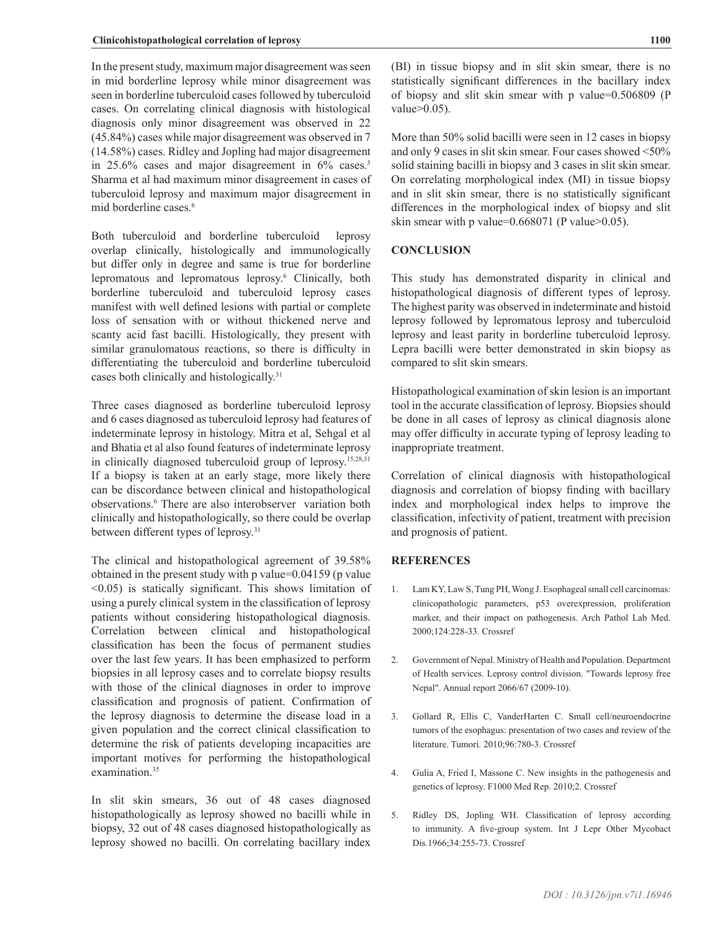In the present study, maximum major disagreement was seen in mid borderline leprosy while minor disagreement was seen in borderline tuberculoid cases followed by tuberculoid cases. On correlating clinical diagnosis with histological diagnosis only minor disagreement was observed in 22 (45.84%) cases while major disagreement was observed in 7 (14.58%) cases. Ridley and Jopling had major disagreement in 25.6% cases and major disagreement in 6% cases.<sup>5</sup> Sharma et al had maximum minor disagreement in cases of tuberculoid leprosy and maximum major disagreement in mid borderline cases.<sup>6</sup>

Both tuberculoid and borderline tuberculoid leprosy overlap clinically, histologically and immunologically but differ only in degree and same is true for borderline lepromatous and lepromatous leprosy.6 Clinically, both borderline tuberculoid and tuberculoid leprosy cases manifest with well defined lesions with partial or complete loss of sensation with or without thickened nerve and scanty acid fast bacilli. Histologically, they present with similar granulomatous reactions, so there is difficulty in differentiating the tuberculoid and borderline tuberculoid cases both clinically and histologically.<sup>31</sup>

Three cases diagnosed as borderline tuberculoid leprosy and 6 cases diagnosed as tuberculoid leprosy had features of indeterminate leprosy in histology. Mitra et al, Sehgal et al and Bhatia et al also found features of indeterminate leprosy in clinically diagnosed tuberculoid group of leprosy.15,28,31 If a biopsy is taken at an early stage, more likely there can be discordance between clinical and histopathological observations.<sup>6</sup> There are also interobserver variation both clinically and histopathologically, so there could be overlap between different types of leprosy.<sup>31</sup>

The clinical and histopathological agreement of 39.58% obtained in the present study with p value=0.04159 (p value <0.05) is statically significant. This shows limitation of using a purely clinical system in the classification of leprosy patients without considering histopathological diagnosis. Correlation between clinical and histopathological classification has been the focus of permanent studies over the last few years. It has been emphasized to perform biopsies in all leprosy cases and to correlate biopsy results with those of the clinical diagnoses in order to improve classification and prognosis of patient. Confirmation of the leprosy diagnosis to determine the disease load in a given population and the correct clinical classification to determine the risk of patients developing incapacities are important motives for performing the histopathological examination.<sup>35</sup>

In slit skin smears, 36 out of 48 cases diagnosed histopathologically as leprosy showed no bacilli while in biopsy, 32 out of 48 cases diagnosed histopathologically as leprosy showed no bacilli. On correlating bacillary index

(BI) in tissue biopsy and in slit skin smear, there is no statistically significant differences in the bacillary index of biopsy and slit skin smear with p value=0.506809 (P value>0.05).

More than 50% solid bacilli were seen in 12 cases in biopsy and only 9 cases in slit skin smear. Four cases showed <50% solid staining bacilli in biopsy and 3 cases in slit skin smear. On correlating morphological index (MI) in tissue biopsy and in slit skin smear, there is no statistically significant differences in the morphological index of biopsy and slit skin smear with p value= $0.668071$  (P value> $0.05$ ).

#### **CONCLUSION**

This study has demonstrated disparity in clinical and histopathological diagnosis of different types of leprosy. The highest parity was observed in indeterminate and histoid leprosy followed by lepromatous leprosy and tuberculoid leprosy and least parity in borderline tuberculoid leprosy. Lepra bacilli were better demonstrated in skin biopsy as compared to slit skin smears.

Histopathological examination of skin lesion is an important tool in the accurate classification of leprosy. Biopsies should be done in all cases of leprosy as clinical diagnosis alone may offer difficulty in accurate typing of leprosy leading to inappropriate treatment.

Correlation of clinical diagnosis with histopathological diagnosis and correlation of biopsy finding with bacillary index and morphological index helps to improve the classification, infectivity of patient, treatment with precision and prognosis of patient.

#### **REFERENCES**

- 1. Lam KY, Law S, Tung PH, Wong J. Esophageal small cell carcinomas: clinicopathologic parameters, p53 overexpression, proliferation marker, and their impact on pathogenesis. Arch Pathol Lab Med. 2000;124:228-33. [Crossref](PMid:10656731)
- 2. Government of Nepal. Ministry of Health and Population. Department of Health services. Leprosy control division. "Towards leprosy free Nepal". Annual report 2066/67 (2009-10).
- 3. Gollard R, Ellis C, VanderHarten C. Small cell/neuroendocrine tumors of the esophagus: presentation of two cases and review of the literature. Tumori. 2010;96:780-3. [Crossref](PMid:21302629)
- 4. Gulia A, Fried I, Massone C. New insights in the pathogenesis and genetics of leprosy. F1000 Med Rep. 2010;2. [Crossref](https://doi.org/10.3410/m2-30)
- 5. Ridley DS, Jopling WH. Classification of leprosy according to immunity. A five-group system. Int J Lepr Other Mycobact Dis.1966;34:255-73. [Crossref](PMid:5950347)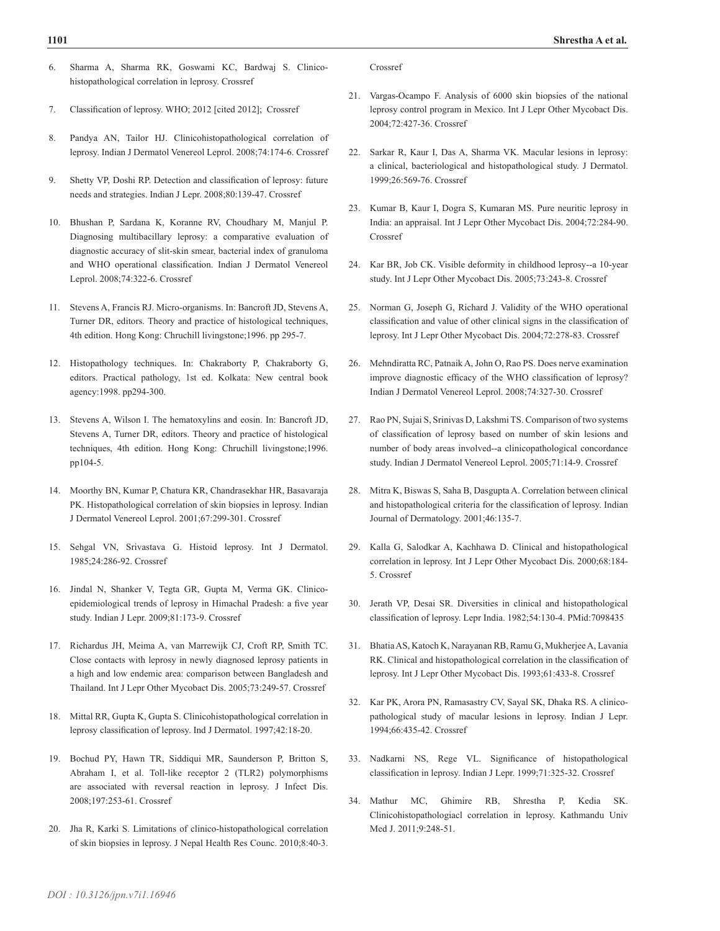- 6. Sharma A, Sharma RK, Goswami KC, Bardwaj S. Clinicohistopathological correlation in leprosy. [Crossref](www.Jkscience.org 2005;10:120-3)
- 7. Classification of leprosy. WHO; 2012 [cited 2012]; [Crossref](http://www.who.int/lep/classification/en/index.html)
- 8. Pandya AN, Tailor HJ. Clinicohistopathological correlation of leprosy. Indian J Dermatol Venereol Leprol. 2008;74:174-6. [Crossref](https://doi.org/10.4103/0378-6323.39723)
- 9. Shetty VP, Doshi RP. Detection and classification of leprosy: future needs and strategies. Indian J Lepr. 2008;80:139-47. [Crossref](PMid:19425508)
- 10. Bhushan P, Sardana K, Koranne RV, Choudhary M, Manjul P. Diagnosing multibacillary leprosy: a comparative evaluation of diagnostic accuracy of slit-skin smear, bacterial index of granuloma and WHO operational classification. Indian J Dermatol Venereol Leprol. 2008;74:322-6. [Crossref](https://doi.org/10.4103/0378-6323.42892)
- 11. Stevens A, Francis RJ. Micro-organisms. In: Bancroft JD, Stevens A, Turner DR, editors. Theory and practice of histological techniques, 4th edition. Hong Kong: Chruchill livingstone;1996. pp 295-7.
- 12. Histopathology techniques. In: Chakraborty P, Chakraborty G, editors. Practical pathology, 1st ed. Kolkata: New central book agency:1998. pp294-300.
- 13. Stevens A, Wilson I. The hematoxylins and eosin. In: Bancroft JD, Stevens A, Turner DR, editors. Theory and practice of histological techniques, 4th edition. Hong Kong: Chruchill livingstone;1996. pp104-5.
- 14. Moorthy BN, Kumar P, Chatura KR, Chandrasekhar HR, Basavaraja PK. Histopathological correlation of skin biopsies in leprosy. Indian J Dermatol Venereol Leprol. 2001;67:299-301. [Crossref](PMid:17664782)
- 15. Sehgal VN, Srivastava G. Histoid leprosy. Int J Dermatol. 1985;24:286-92. [Crossref](https://doi.org/10.1111/j.1365-4362.1985.tb05783.x)
- 16. Jindal N, Shanker V, Tegta GR, Gupta M, Verma GK. Clinicoepidemiological trends of leprosy in Himachal Pradesh: a five year study. Indian J Lepr. 2009;81:173-9. [Crossref](PMid:20704072)
- 17. Richardus JH, Meima A, van Marrewijk CJ, Croft RP, Smith TC. Close contacts with leprosy in newly diagnosed leprosy patients in a high and low endemic area: comparison between Bangladesh and Thailand. Int J Lepr Other Mycobact Dis. 2005;73:249-57. [Crossref](PMid:16830634)
- 18. Mittal RR, Gupta K, Gupta S. Clinicohistopathological correlation in leprosy classification of leprosy. Ind J Dermatol. 1997;42:18-20.
- 19. Bochud PY, Hawn TR, Siddiqui MR, Saunderson P, Britton S, Abraham I, et al. Toll-like receptor 2 (TLR2) polymorphisms are associated with reversal reaction in leprosy. J Infect Dis. 2008;197:253-61. [Crossref](https://doi.org/10.1086/524688)
- 20. Jha R, Karki S. Limitations of clinico-histopathological correlation of skin biopsies in leprosy. J Nepal Health Res Counc. 2010;8:40-3.

[Crossref](PMid:21879013)

- 21. Vargas-Ocampo F. Analysis of 6000 skin biopsies of the national leprosy control program in Mexico. Int J Lepr Other Mycobact Dis. 2004;72:427-36. [Crossref](https://doi.org/10.1489/1544-581X(2004)72<427:AOSBOT>2.0.CO;2)
- 22. Sarkar R, Kaur I, Das A, Sharma VK. Macular lesions in leprosy: a clinical, bacteriological and histopathological study. J Dermatol. 1999;26:569-76. [Crossref](https://doi.org/10.1111/j.1346-8138.1999.tb02051.x)
- 23. Kumar B, Kaur I, Dogra S, Kumaran MS. Pure neuritic leprosy in India: an appraisal. Int J Lepr Other Mycobact Dis. 2004;72:284-90. [Crossref](https://doi.org/10.1489/0020-7349(2004)72<284:PNLIIA>2.0.CO;2)
- 24. Kar BR, Job CK. Visible deformity in childhood leprosy--a 10-year study. Int J Lepr Other Mycobact Dis. 2005;73:243-8. [Crossref](PMid:16830633)
- 25. Norman G, Joseph G, Richard J. Validity of the WHO operational classification and value of other clinical signs in the classification of leprosy. Int J Lepr Other Mycobact Dis. 2004;72:278-83. [Crossref](https://doi.org/10.1489/0020-7349(2004)72<278:VOTWOC>2.0.CO;2)
- 26. Mehndiratta RC, Patnaik A, John O, Rao PS. Does nerve examination improve diagnostic efficacy of the WHO classification of leprosy? Indian J Dermatol Venereol Leprol. 2008;74:327-30. [Crossref](https://doi.org/10.4103/0378-6323.42894)
- 27. Rao PN, Sujai S, Srinivas D, Lakshmi TS. Comparison of two systems of classification of leprosy based on number of skin lesions and number of body areas involved--a clinicopathological concordance study. Indian J Dermatol Venereol Leprol. 2005;71:14-9. [Crossref](https://doi.org/10.4103/0378-6323.13779)
- 28. Mitra K, Biswas S, Saha B, Dasgupta A. Correlation between clinical and histopathological criteria for the classification of leprosy. Indian Journal of Dermatology. 2001;46:135-7.
- 29. Kalla G, Salodkar A, Kachhawa D. Clinical and histopathological correlation in leprosy. Int J Lepr Other Mycobact Dis. 2000;68:184- 5. [Crossref](PMid:11036503)
- 30. Jerath VP, Desai SR. Diversities in clinical and histopathological classification of leprosy. Lepr India. 1982;54:130-4. PMid:7098435
- 31. Bhatia AS, Katoch K, Narayanan RB, Ramu G, Mukherjee A, Lavania RK. Clinical and histopathological correlation in the classification of leprosy. Int J Lepr Other Mycobact Dis. 1993;61:433-8. [Crossref](PMid:8228443)
- 32. Kar PK, Arora PN, Ramasastry CV, Sayal SK, Dhaka RS. A clinicopathological study of macular lesions in leprosy. Indian J Lepr. 1994;66:435-42. [Crossref](PMid:7714352)
- 33. Nadkarni NS, Rege VL. Significance of histopathological classification in leprosy. Indian J Lepr. 1999;71:325-32. [Crossref](PMid:10626238)
- 34. Mathur MC, Ghimire RB, Shrestha P, Kedia SK. Clinicohistopathologiacl correlation in leprosy. Kathmandu Univ Med J. 2011;9:248-51.